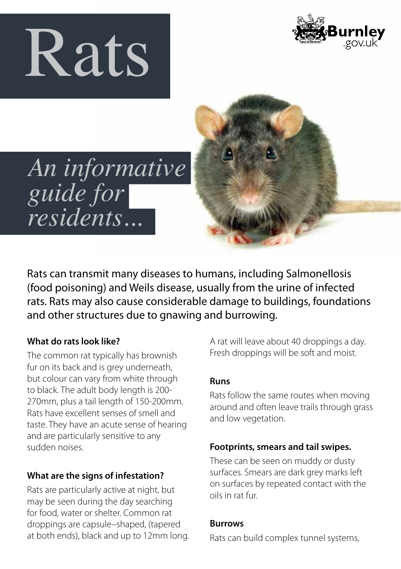



*An informative guide for residents...* 

Rats can transmit many diseases to humans, including Salmonellosis (food poisoning) and Weils disease, usually from the urine of infected rats. Rats may also cause considerable damage to buildings, foundations and other structures due to gnawing and burrowing.

## **What do rats look like?**

The common rat typically has brownish fur on its back and is grey underneath, but colour can vary from white through to black. The adult body length is 200- 270mm, plus a tail length of 150-200mm. Rats have excellent senses of smell and taste. They have an acute sense of hearing and are particularly sensitive to any sudden noises.

## **What are the signs of infestation?**

Rats are particularly active at night, but may be seen during the day searching for food, water or shelter. Common rat droppings are capsule–shaped, (tapered at both ends), black and up to 12mm long. A rat will leave about 40 droppings a day. Fresh droppings will be soft and moist.

## **Runs**

Rats follow the same routes when moving around and often leave trails through grass and low vegetation.

## **Footprints, smears and tail swipes.**

These can be seen on muddy or dusty surfaces. Smears are dark grey marks left on surfaces by repeated contact with the oils in rat fur.

#### **Burrows**

Rats can build complex tunnel systems,